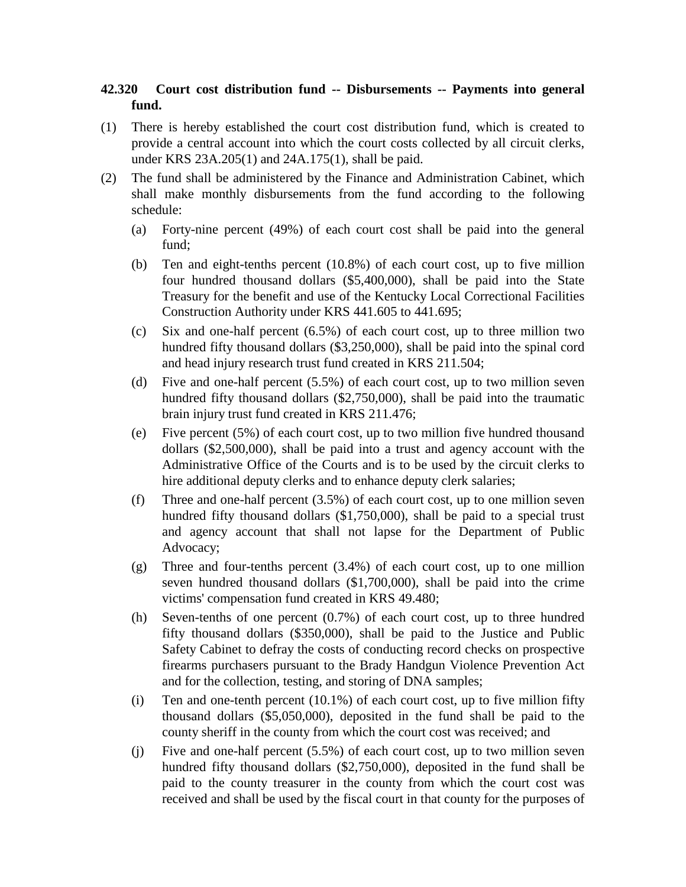## **42.320 Court cost distribution fund -- Disbursements -- Payments into general fund.**

- (1) There is hereby established the court cost distribution fund, which is created to provide a central account into which the court costs collected by all circuit clerks, under KRS 23A.205(1) and 24A.175(1), shall be paid.
- (2) The fund shall be administered by the Finance and Administration Cabinet, which shall make monthly disbursements from the fund according to the following schedule:
	- (a) Forty-nine percent (49%) of each court cost shall be paid into the general fund;
	- (b) Ten and eight-tenths percent (10.8%) of each court cost, up to five million four hundred thousand dollars (\$5,400,000), shall be paid into the State Treasury for the benefit and use of the Kentucky Local Correctional Facilities Construction Authority under KRS 441.605 to 441.695;
	- (c) Six and one-half percent (6.5%) of each court cost, up to three million two hundred fifty thousand dollars (\$3,250,000), shall be paid into the spinal cord and head injury research trust fund created in KRS 211.504;
	- (d) Five and one-half percent (5.5%) of each court cost, up to two million seven hundred fifty thousand dollars (\$2,750,000), shall be paid into the traumatic brain injury trust fund created in KRS 211.476;
	- (e) Five percent (5%) of each court cost, up to two million five hundred thousand dollars (\$2,500,000), shall be paid into a trust and agency account with the Administrative Office of the Courts and is to be used by the circuit clerks to hire additional deputy clerks and to enhance deputy clerk salaries;
	- (f) Three and one-half percent (3.5%) of each court cost, up to one million seven hundred fifty thousand dollars (\$1,750,000), shall be paid to a special trust and agency account that shall not lapse for the Department of Public Advocacy;
	- (g) Three and four-tenths percent (3.4%) of each court cost, up to one million seven hundred thousand dollars (\$1,700,000), shall be paid into the crime victims' compensation fund created in KRS 49.480;
	- (h) Seven-tenths of one percent (0.7%) of each court cost, up to three hundred fifty thousand dollars (\$350,000), shall be paid to the Justice and Public Safety Cabinet to defray the costs of conducting record checks on prospective firearms purchasers pursuant to the Brady Handgun Violence Prevention Act and for the collection, testing, and storing of DNA samples;
	- (i) Ten and one-tenth percent  $(10.1\%)$  of each court cost, up to five million fifty thousand dollars (\$5,050,000), deposited in the fund shall be paid to the county sheriff in the county from which the court cost was received; and
	- (j) Five and one-half percent (5.5%) of each court cost, up to two million seven hundred fifty thousand dollars (\$2,750,000), deposited in the fund shall be paid to the county treasurer in the county from which the court cost was received and shall be used by the fiscal court in that county for the purposes of